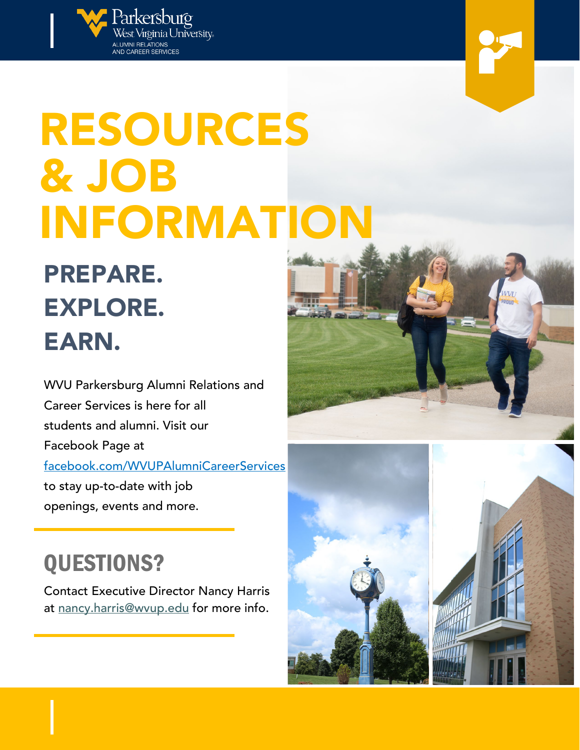

# RESOURCES & JOB INFORMATION

PREPARE. EXPLORE. EARN.

WVU Parkersburg Alumni Relations and Career Services is here for all students and alumni. Visit our Facebook Page at facebook.com/WVUPAlumniCareerServices to stay up-to-date with job

openings, events and more.

## QUESTIONS?

Contact Executive Director Nancy Harris at [nancy.harris@wvup.edu](mailto:nancy.harris@wvup.edu) for more info.



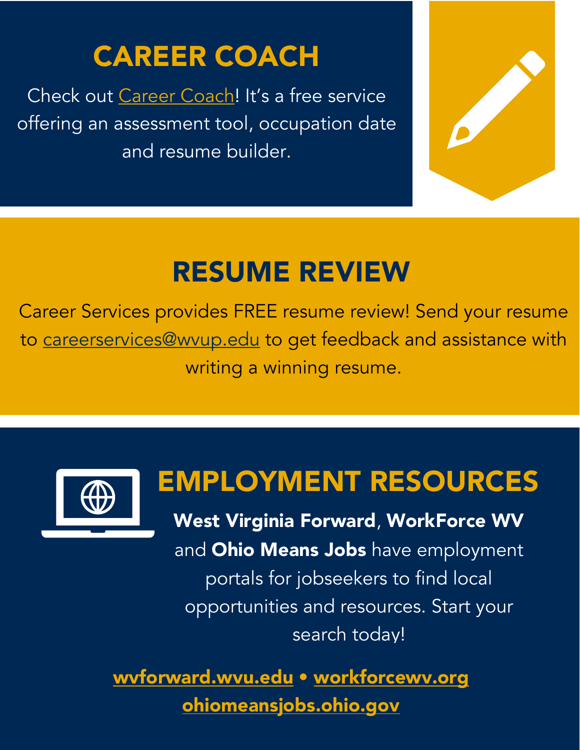# CAREER COACH

Check out [Career Coach!](http://wvup.emsicc.com/) It's a free service offering an assessment tool, occupation date and resume builder.



# RESUME REVIEW

Career Services provides FREE resume review! Send your resume to [careerservices@wvup.edu](mailto:careerservices@wvup.edu) to get feedback and assistance with writing a winning resume.



# EMPLOYMENT RESOURCES

West Virginia Forward, WorkForce WV and Ohio Means Jobs have employment portals for jobseekers to find local opportunities and resources. Start your search today!

[wvforward.wvu.edu](https://wvforward.wvu.edu/) • [workforcewv.org](https://workforcewv.org/) [ohiomeansjobs.ohio.gov](https://ohiomeansjobs.ohio.gov/wps/portal/gov/omj/)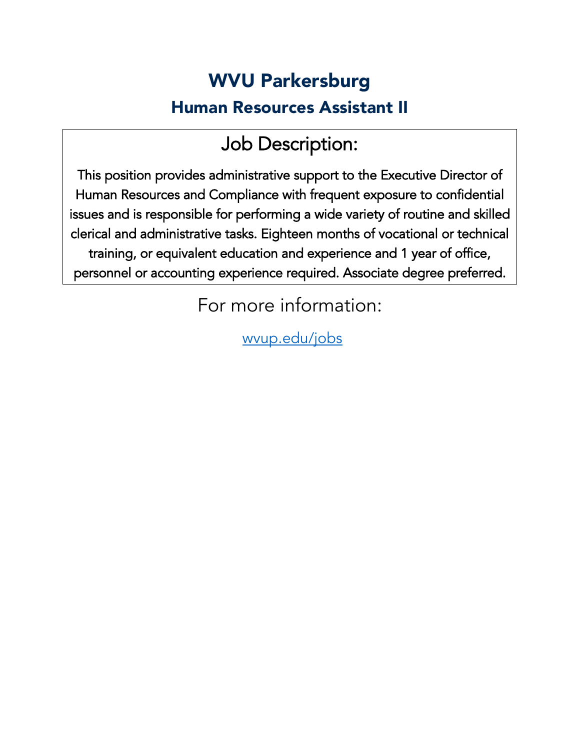### WVU Parkersburg Human Resources Assistant II

### Job Description:

This position provides administrative support to the Executive Director of Human Resources and Compliance with frequent exposure to confidential issues and is responsible for performing a wide variety of routine and skilled clerical and administrative tasks. Eighteen months of vocational or technical training, or equivalent education and experience and 1 year of office, personnel or accounting experience required. Associate degree preferred.

For more information:

[wvup.edu/jobs](https://www.wvup.edu/faculty-staff/information-for-faculty-staff/employment-opportunities/)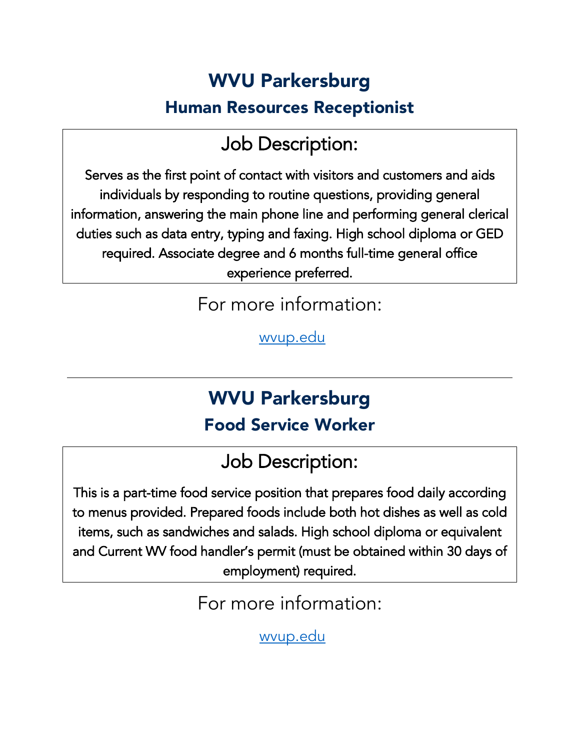### WVU Parkersburg Human Resources Receptionist

### Job Description:

Serves as the first point of contact with visitors and customers and aids individuals by responding to routine questions, providing general information, answering the main phone line and performing general clerical duties such as data entry, typing and faxing. High school diploma or GED required. Associate degree and 6 months full-time general office experience preferred.

For more information:

[wvup.edu](https://www.wvup.edu/faculty-staff/information-for-faculty-staff/employment-opportunities/)

### WVU Parkersburg Food Service Worker

Job Description:

This is a part-time food service position that prepares food daily according to menus provided. Prepared foods include both hot dishes as well as cold items, such as sandwiches and salads. High school diploma or equivalent and Current WV food handler's permit (must be obtained within 30 days of employment) required.

For more information:

[wvup.edu](https://www.wvup.edu/faculty-staff/information-for-faculty-staff/employment-opportunities/)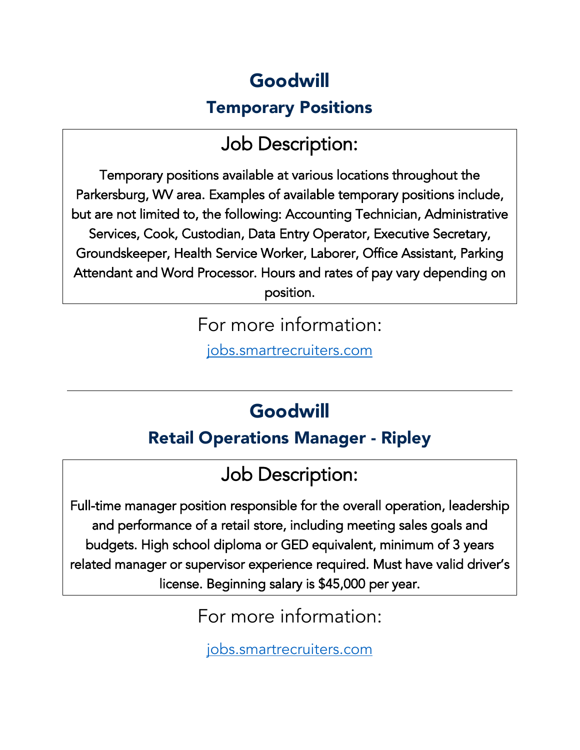### Goodwill

#### Temporary Positions

### Job Description:

Temporary positions available at various locations throughout the Parkersburg, WV area. Examples of available temporary positions include, but are not limited to, the following: Accounting Technician, Administrative Services, Cook, Custodian, Data Entry Operator, Executive Secretary, Groundskeeper, Health Service Worker, Laborer, Office Assistant, Parking Attendant and Word Processor. Hours and rates of pay vary depending on position.

For more information:

[jobs.smartrecruiters.com](https://jobs.smartrecruiters.com/?company=goodwillindustriesofkanawhavalle)

### Goodwill

#### Retail Operations Manager - Ripley

### Job Description:

Full-time manager position responsible for the overall operation, leadership and performance of a retail store, including meeting sales goals and budgets. High school diploma or GED equivalent, minimum of 3 years related manager or supervisor experience required. Must have valid driver's license. Beginning salary is \$45,000 per year.

For more information:

[jobs.smartrecruiters.com](https://jobs.smartrecruiters.com/?company=goodwillindustriesofkanawhavalle)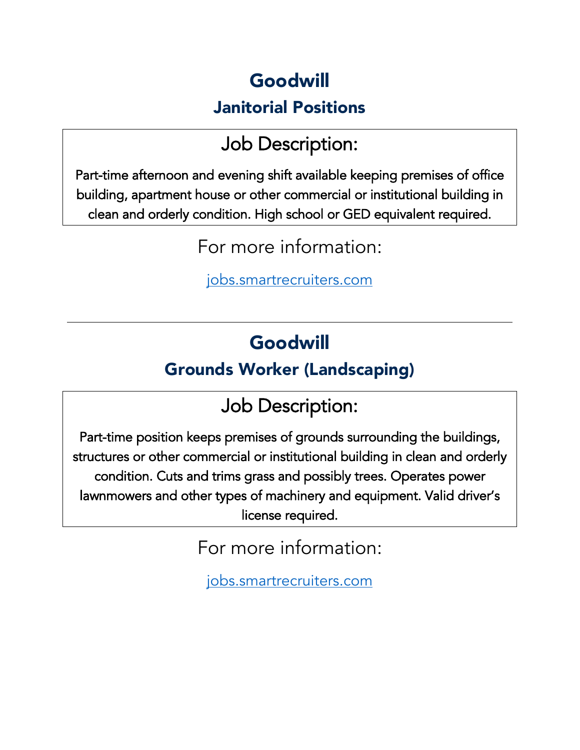### Goodwill

#### Janitorial Positions

### Job Description:

Part-time afternoon and evening shift available keeping premises of office building, apartment house or other commercial or institutional building in clean and orderly condition. High school or GED equivalent required.

For more information:

[jobs.smartrecruiters.com](https://jobs.smartrecruiters.com/?company=goodwillindustriesofkanawhavalle)

### Goodwill

#### Grounds Worker (Landscaping)

### Job Description:

Part-time position keeps premises of grounds surrounding the buildings, structures or other commercial or institutional building in clean and orderly condition. Cuts and trims grass and possibly trees. Operates power lawnmowers and other types of machinery and equipment. Valid driver's license required.

For more information:

[jobs.smartrecruiters.com](https://jobs.smartrecruiters.com/?company=goodwillindustriesofkanawhavalle)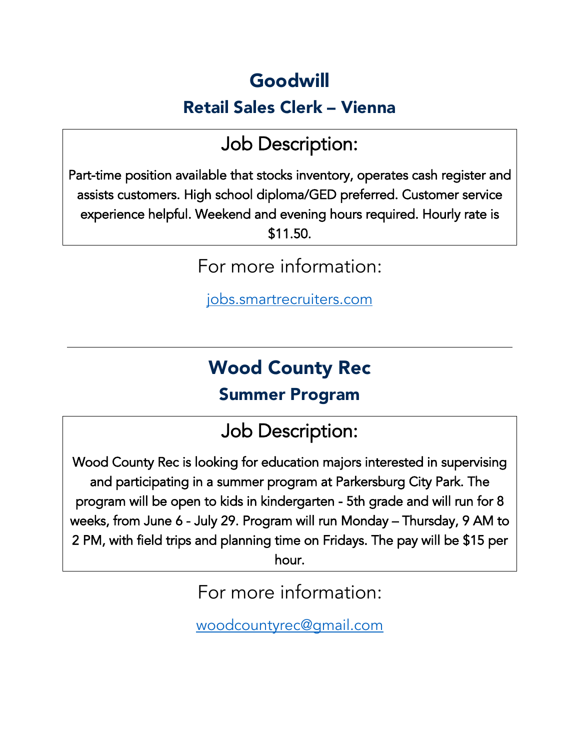### Goodwill

#### Retail Sales Clerk – Vienna

### Job Description:

Part-time position available that stocks inventory, operates cash register and assists customers. High school diploma/GED preferred. Customer service experience helpful. Weekend and evening hours required. Hourly rate is \$11.50.

For more information:

[jobs.smartrecruiters.com](https://jobs.smartrecruiters.com/?company=goodwillindustriesofkanawhavalle)

### Wood County Rec

#### Summer Program

### Job Description:

Wood County Rec is looking for education majors interested in supervising and participating in a summer program at Parkersburg City Park. The program will be open to kids in kindergarten - 5th grade and will run for 8 weeks, from June 6 - July 29. Program will run Monday – Thursday, 9 AM to 2 PM, with field trips and planning time on Fridays. The pay will be \$15 per

hour.

For more information:

[woodcountyrec@gmail.com](mailto:woodcountyrec@gmail.com)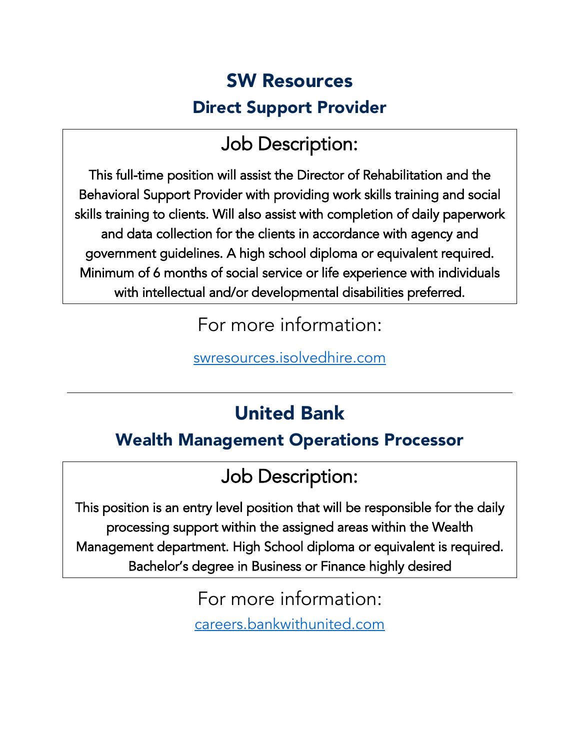### SW Resources Direct Support Provider

### Job Description:

This full-time position will assist the Director of Rehabilitation and the Behavioral Support Provider with providing work skills training and social skills training to clients. Will also assist with completion of daily paperwork and data collection for the clients in accordance with agency and government guidelines. A high school diploma or equivalent required. Minimum of 6 months of social service or life experience with individuals with intellectual and/or developmental disabilities preferred.

For more information:

[swresources.isolvedhire.com](https://swresources.isolvedhire.com/jobs/) 

### United Bank

#### Wealth Management Operations Processor

### Job Description:

This position is an entry level position that will be responsible for the daily processing support within the assigned areas within the Wealth Management department. High School diploma or equivalent is required. Bachelor's degree in Business or Finance highly desired

> For more information: [careers.bankwithunited.com](https://careers.bankwithunited.com/UnitedBank/job/Parkersburg-Wealth-Management-Operations-Processor-WV-26101/862811900/)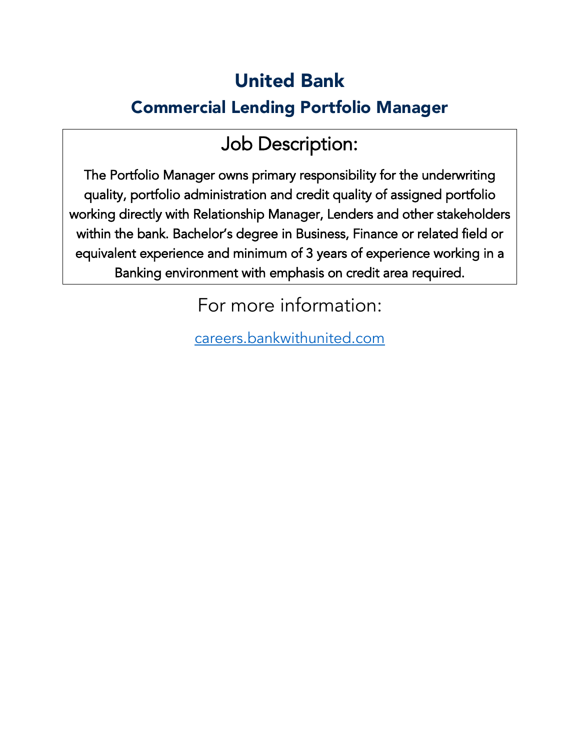### United Bank

#### Commercial Lending Portfolio Manager

### Job Description:

The Portfolio Manager owns primary responsibility for the underwriting quality, portfolio administration and credit quality of assigned portfolio working directly with Relationship Manager, Lenders and other stakeholders within the bank. Bachelor's degree in Business, Finance or related field or equivalent experience and minimum of 3 years of experience working in a Banking environment with emphasis on credit area required.

For more information:

[careers.bankwithunited.com](https://careers.bankwithunited.com/job-invite/37245/)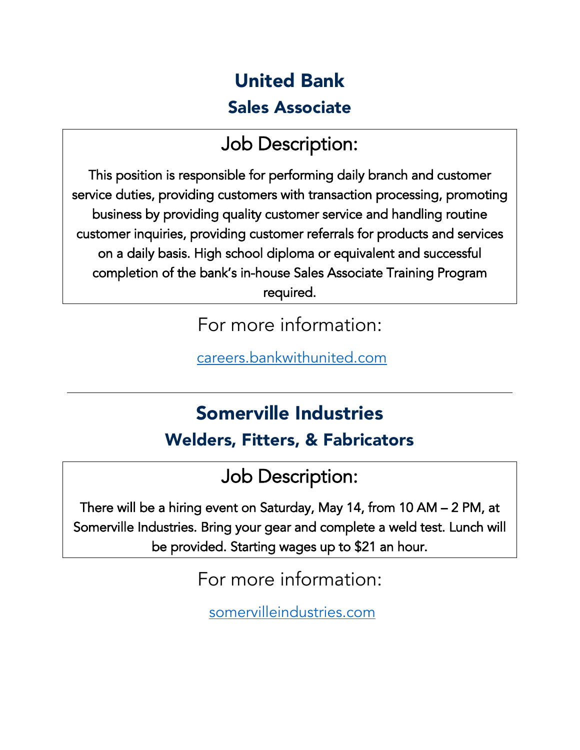### United Bank Sales Associate

### Job Description:

This position is responsible for performing daily branch and customer service duties, providing customers with transaction processing, promoting business by providing quality customer service and handling routine customer inquiries, providing customer referrals for products and services on a daily basis. High school diploma or equivalent and successful completion of the bank's in-house Sales Associate Training Program required.

For more information:

[careers.bankwithunited.com](https://careers.bankwithunited.com/UnitedBank/job/Parkersburg-Sales-Associate-WV-26101/873419600/)

### Somerville Industries Welders, Fitters, & Fabricators

Job Description:

There will be a hiring event on Saturday, May 14, from 10 AM – 2 PM, at Somerville Industries. Bring your gear and complete a weld test. Lunch will be provided. Starting wages up to \$21 an hour.

For more information:

[somervilleindustries.com](https://www.somervilleindustries.com/hiringevent)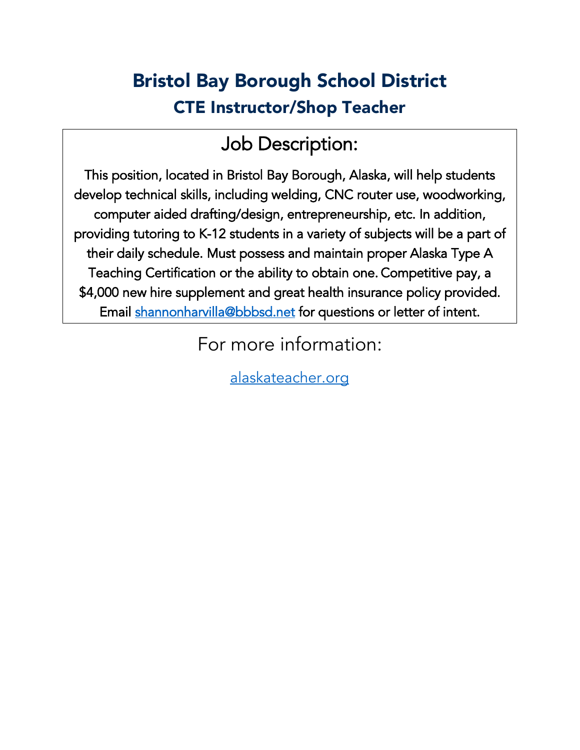### Bristol Bay Borough School District CTE Instructor/Shop Teacher

### Job Description:

This position, located in Bristol Bay Borough, Alaska, will help students develop technical skills, including welding, CNC router use, woodworking, computer aided drafting/design, entrepreneurship, etc. In addition, providing tutoring to K-12 students in a variety of subjects will be a part of their daily schedule. Must possess and maintain proper Alaska Type A Teaching Certification or the ability to obtain one. Competitive pay, a \$4,000 new hire supplement and great health insurance policy provided. Email [shannonharvilla@bbbsd.net](mailto:shannonharvilla@bbbsd.net) for questions or letter of intent.

For more information:

[alaskateacher.org](http://www.alaskateacher.org/jobs/detail.htm?choosedistrict=true&applitrackclient=37985&all=1)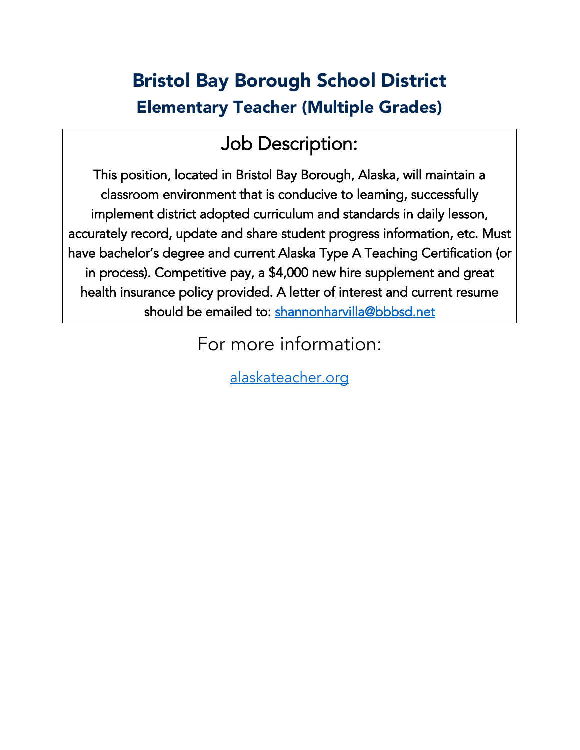### Bristol Bay Borough School District Elementary Teacher (Multiple Grades)

### Job Description:

This position, located in Bristol Bay Borough, Alaska, will maintain a classroom environment that is conducive to learning, successfully implement district adopted curriculum and standards in daily lesson, accurately record, update and share student progress information, etc. Must have bachelor's degree and current Alaska Type A Teaching Certification (or in process). Competitive pay, a \$4,000 new hire supplement and great health insurance policy provided. A letter of interest and current resume should be emailed to: shannonharvilla@bbbsd.net

For more information:

[alaskateacher.org](http://www.alaskateacher.org/jobs/detail.htm?choosedistrict=true&applitrackclient=37985&all=1)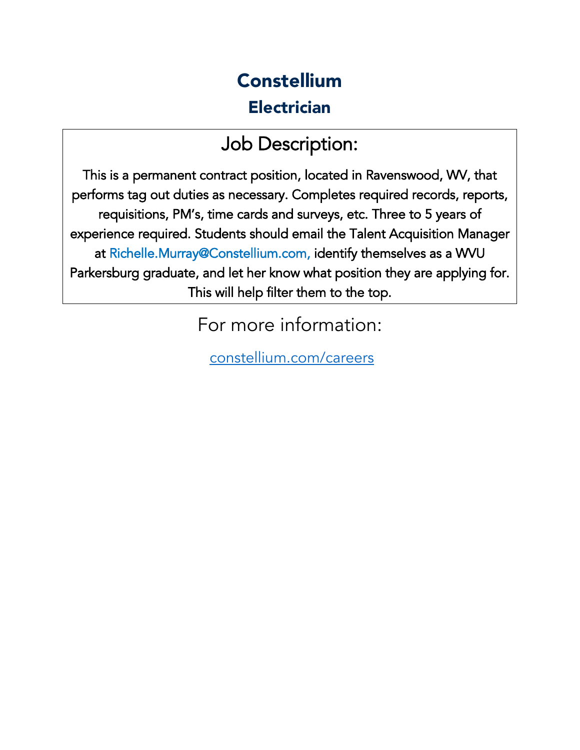### **Constellium Electrician**

### Job Description:

This is a permanent contract position, located in Ravenswood, WV, that performs tag out duties as necessary. Completes required records, reports, requisitions, PM's, time cards and surveys, etc. Three to 5 years of experience required. Students should email the Talent Acquisition Manager at Richelle.Murray@Constellium.com, identify themselves as a WVU Parkersburg graduate, and let her know what position they are applying for. This will help filter them to the top.

For more information:

[constellium.com/careers](http://www.constellium.com/careers)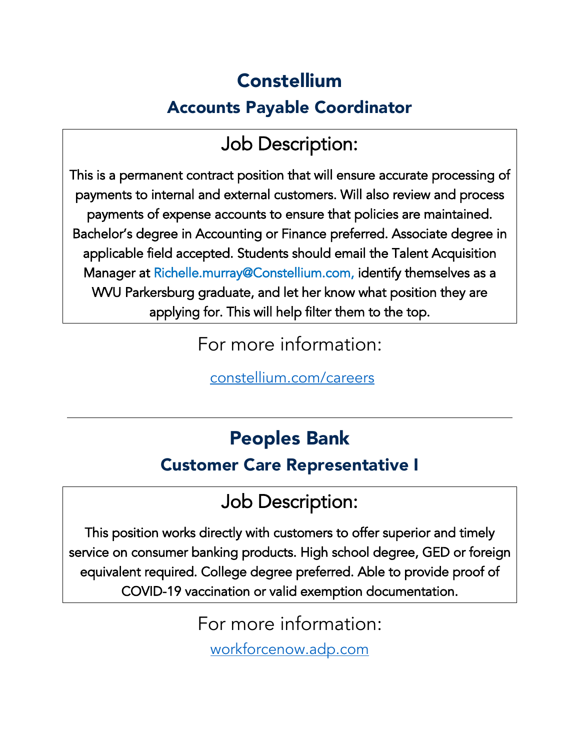### Constellium Accounts Payable Coordinator

### Job Description:

This is a permanent contract position that will ensure accurate processing of payments to internal and external customers. Will also review and process payments of expense accounts to ensure that policies are maintained. Bachelor's degree in Accounting or Finance preferred. Associate degree in applicable field accepted. Students should email the Talent Acquisition Manager at Richelle.murray@Constellium.com, identify themselves as a WVU Parkersburg graduate, and let her know what position they are applying for. This will help filter them to the top.

For more information:

[constellium.com/careers](http://www.constellium.com/careers)

#### Peoples Bank

#### Customer Care Representative I

### Job Description:

This position works directly with customers to offer superior and timely service on consumer banking products. High school degree, GED or foreign equivalent required. College degree preferred. Able to provide proof of COVID-19 vaccination or valid exemption documentation.

For more information:

[workforcenow.adp.com](https://workforcenow.adp.com/mascsr/default/mdf/recruitment/recruitment.html?cid=e33e70a3-7463-4403-acf9-76c815fbc9af&ccId=26540757_178&type=MP&lang=en_US)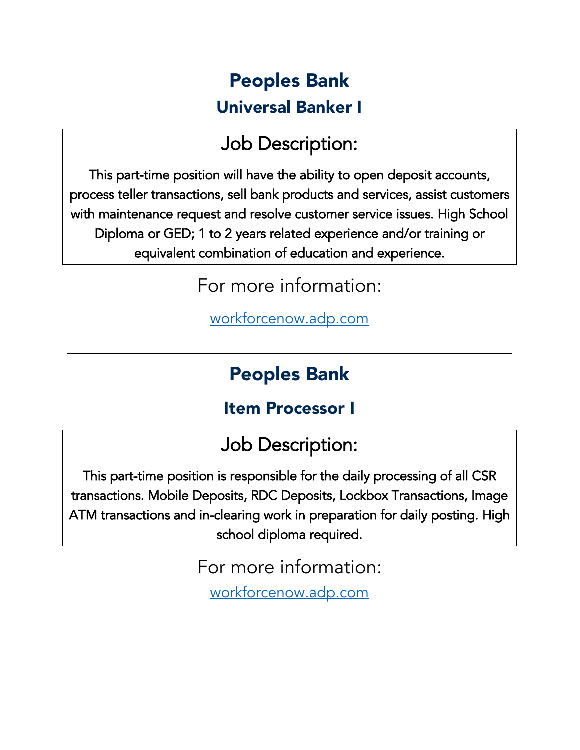### Peoples Bank Universal Banker I

### Job Description:

This part-time position will have the ability to open deposit accounts, process teller transactions, sell bank products and services, assist customers with maintenance request and resolve customer service issues. High School Diploma or GED; 1 to 2 years related experience and/or training or equivalent combination of education and experience.

For more information:

[workforcenow.adp.com](https://workforcenow.adp.com/mascsr/default/mdf/recruitment/recruitment.html?cid=e33e70a3-7463-4403-acf9-76c815fbc9af&ccId=26540757_178&type=MP&lang=en_US) 

#### Peoples Bank

#### Item Processor I

Job Description:

This part-time position is responsible for the daily processing of all CSR transactions. Mobile Deposits, RDC Deposits, Lockbox Transactions, Image ATM transactions and in-clearing work in preparation for daily posting. High school diploma required.

> For more information: [workforcenow.adp.com](https://workforcenow.adp.com/mascsr/default/mdf/recruitment/recruitment.html?cid=e33e70a3-7463-4403-acf9-76c815fbc9af&ccId=26540757_178&type=MP&lang=en_US)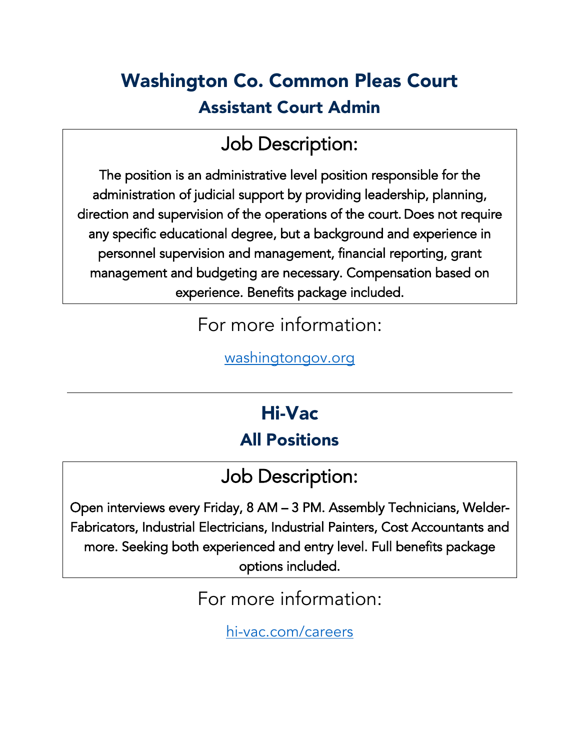### Washington Co. Common Pleas Court Assistant Court Admin

### Job Description:

The position is an administrative level position responsible for the administration of judicial support by providing leadership, planning, direction and supervision of the operations of the court. Does not require any specific educational degree, but a background and experience in personnel supervision and management, financial reporting, grant management and budgeting are necessary. Compensation based on experience. Benefits package included.

For more information:

[washingtongov.org](https://www.washingtongov.org/Jobs.aspx?UniqueId=98&From=All&CommunityJobs=False&JobID=Common-Pleas-Asst-Court-Administrator-97) 

### Hi-Vac All Positions

### Job Description:

Open interviews every Friday, 8 AM – 3 PM. Assembly Technicians, Welder-Fabricators, Industrial Electricians, Industrial Painters, Cost Accountants and more. Seeking both experienced and entry level. Full benefits package options included.

For more information:

[hi-vac.com/careers](http://www.hi-vac.com/careers)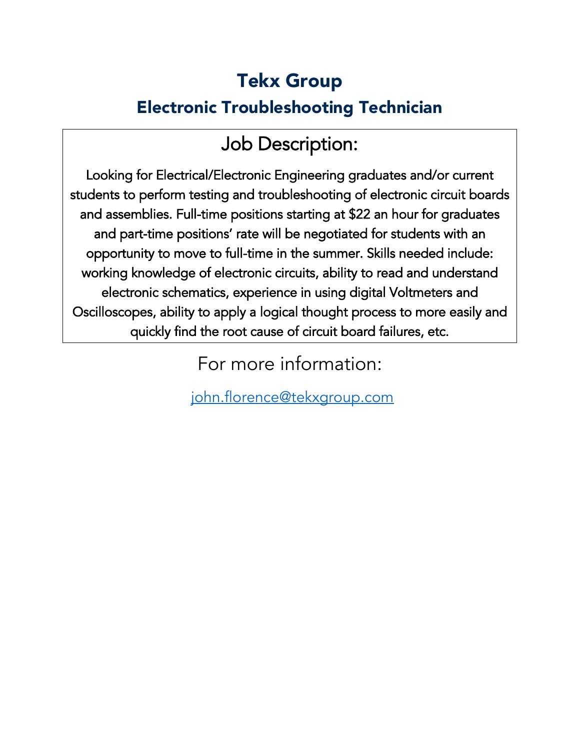### Tekx Group Electronic Troubleshooting Technician

### Job Description:

Looking for Electrical/Electronic Engineering graduates and/or current students to perform testing and troubleshooting of electronic circuit boards and assemblies. Full-time positions starting at \$22 an hour for graduates and part-time positions' rate will be negotiated for students with an opportunity to move to full-time in the summer. Skills needed include: working knowledge of electronic circuits, ability to read and understand electronic schematics, experience in using digital Voltmeters and Oscilloscopes, ability to apply a logical thought process to more easily and quickly find the root cause of circuit board failures, etc.

For more information:

[john.florence@tekxgroup.com](mailto:john.florence@tekxgroup.com)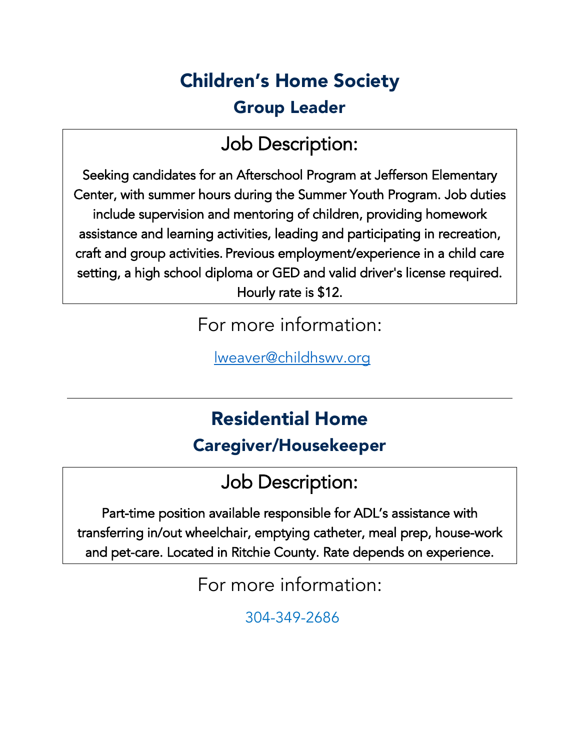### Children's Home Society Group Leader

### Job Description:

Seeking candidates for an Afterschool Program at Jefferson Elementary Center, with summer hours during the Summer Youth Program. Job duties include supervision and mentoring of children, providing homework assistance and learning activities, leading and participating in recreation, craft and group activities. Previous employment/experience in a child care setting, a high school diploma or GED and valid driver's license required. Hourly rate is \$12.

For more information:

[lweaver@childhswv.org](mailto:lweaver@childhswv.org) 

### Residential Home

#### Caregiver/Housekeeper

### Job Description:

Part-time position available responsible for ADL's assistance with transferring in/out wheelchair, emptying catheter, meal prep, house-work and pet-care. Located in Ritchie County. Rate depends on experience.

For more information:

304-349-2686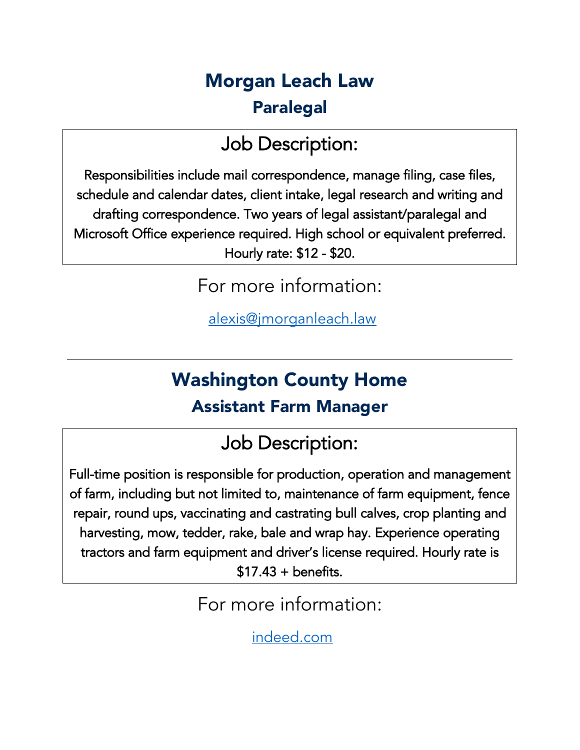### Morgan Leach Law Paralegal

### Job Description:

Responsibilities include mail correspondence, manage filing, case files, schedule and calendar dates, client intake, legal research and writing and drafting correspondence. Two years of legal assistant/paralegal and Microsoft Office experience required. High school or equivalent preferred. Hourly rate: \$12 - \$20.

For more information:

[alexis@jmorganleach.law](mailto:alexis@jmorganleach.law) 

### Washington County Home Assistant Farm Manager

### Job Description:

Full-time position is responsible for production, operation and management of farm, including but not limited to, maintenance of farm equipment, fence repair, round ups, vaccinating and castrating bull calves, crop planting and harvesting, mow, tedder, rake, bale and wrap hay. Experience operating tractors and farm equipment and driver's license required. Hourly rate is  $$17.43 + benefits.$ 

For more information:

[indeed.com](http://www.indeed.com/)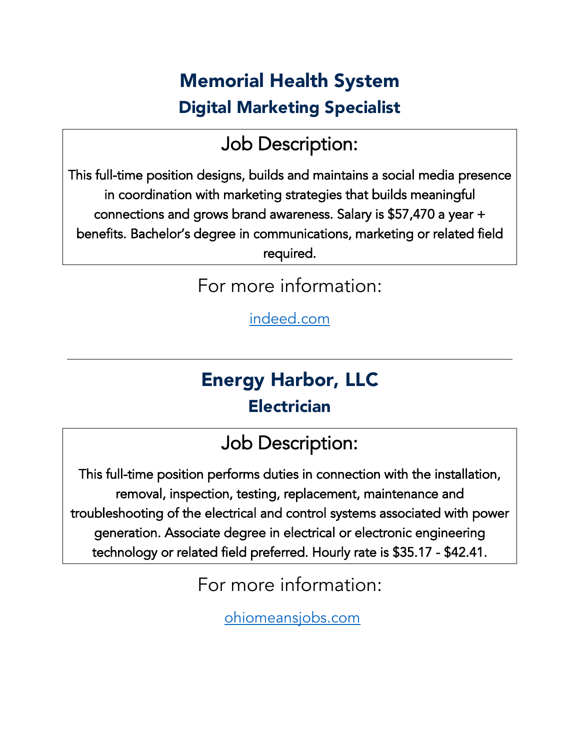### Memorial Health System Digital Marketing Specialist

### Job Description:

This full-time position designs, builds and maintains a social media presence in coordination with marketing strategies that builds meaningful connections and grows brand awareness. Salary is \$57,470 a year + benefits. Bachelor's degree in communications, marketing or related field required.

For more information:

[indeed.com](http://www.indeed.com/) 

### Energy Harbor, LLC Electrician

### Job Description:

This full-time position performs duties in connection with the installation, removal, inspection, testing, replacement, maintenance and troubleshooting of the electrical and control systems associated with power generation. Associate degree in electrical or electronic engineering technology or related field preferred. Hourly rate is \$35.17 - \$42.41.

For more information:

[ohiomeansjobs.com](http://www.ohiomeansjobs.com/)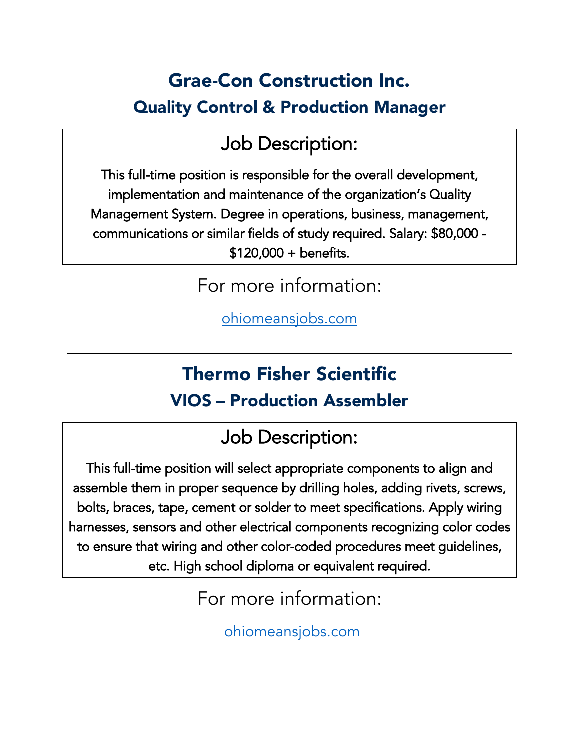### Grae-Con Construction Inc. Quality Control & Production Manager

### Job Description:

This full-time position is responsible for the overall development, implementation and maintenance of the organization's Quality Management System. Degree in operations, business, management, communications or similar fields of study required. Salary: \$80,000 - \$120,000 + benefits.

For more information:

[ohiomeansjobs.com](http://www.ohiomeansjobs.com/) 

### Thermo Fisher Scientific VIOS – Production Assembler

### Job Description:

This full-time position will select appropriate components to align and assemble them in proper sequence by drilling holes, adding rivets, screws, bolts, braces, tape, cement or solder to meet specifications. Apply wiring harnesses, sensors and other electrical components recognizing color codes to ensure that wiring and other color-coded procedures meet guidelines, etc. High school diploma or equivalent required.

For more information:

[ohiomeansjobs.com](http://www.ohiomeansjobs.com/)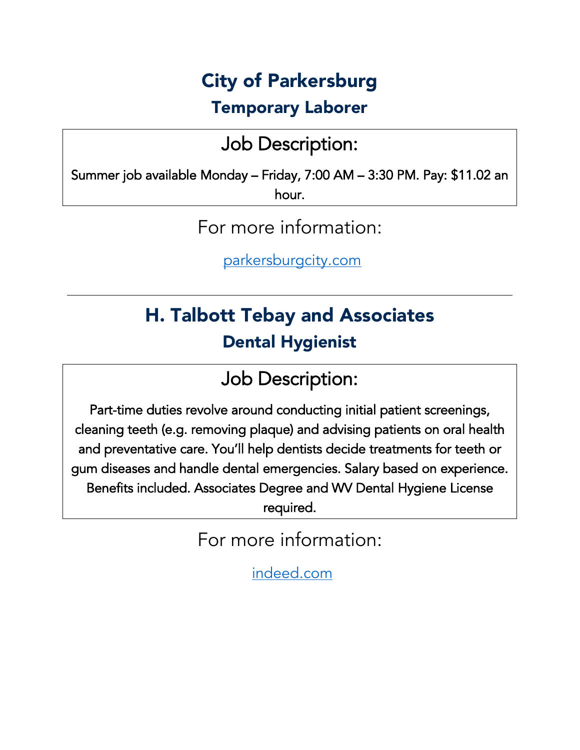### City of Parkersburg

#### Temporary Laborer

### Job Description:

Summer job available Monday – Friday, 7:00 AM – 3:30 PM. Pay: \$11.02 an hour.

For more information:

[parkersburgcity.com](http://www.parkersburgcity.com/)

### H. Talbott Tebay and Associates Dental Hygienist

### Job Description:

Part-time duties revolve around conducting initial patient screenings, cleaning teeth (e.g. removing plaque) and advising patients on oral health and preventative care. You'll help dentists decide treatments for teeth or gum diseases and handle dental emergencies. Salary based on experience. Benefits included. Associates Degree and WV Dental Hygiene License required.

For more information:

[indeed.com](http://www.indeed.com/)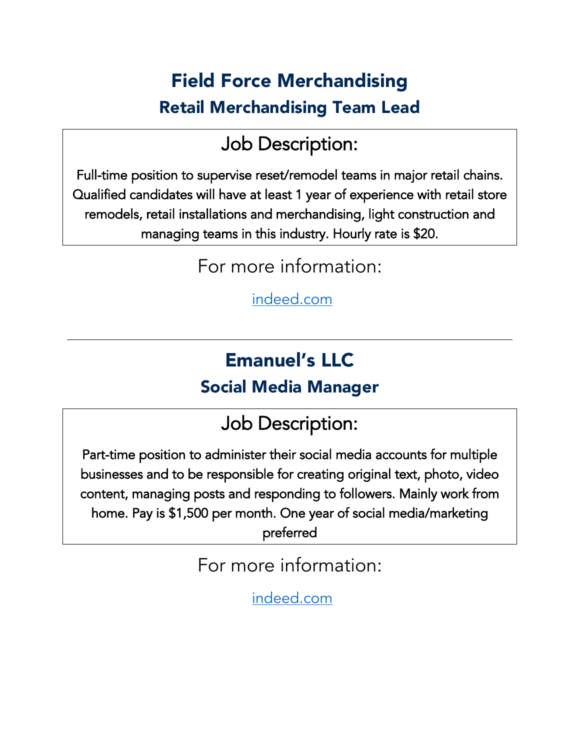### Field Force Merchandising Retail Merchandising Team Lead

### Job Description:

Full-time position to supervise reset/remodel teams in major retail chains. Qualified candidates will have at least 1 year of experience with retail store remodels, retail installations and merchandising, light construction and managing teams in this industry. Hourly rate is \$20.

For more information:

[indeed.com](http://www.indeed.com/)

### Emanuel's LLC

#### Social Media Manager

### Job Description:

Part-time position to administer their social media accounts for multiple businesses and to be responsible for creating original text, photo, video content, managing posts and responding to followers. Mainly work from home. Pay is \$1,500 per month. One year of social media/marketing preferred

For more information:

[indeed.com](http://www.indeed.com/)